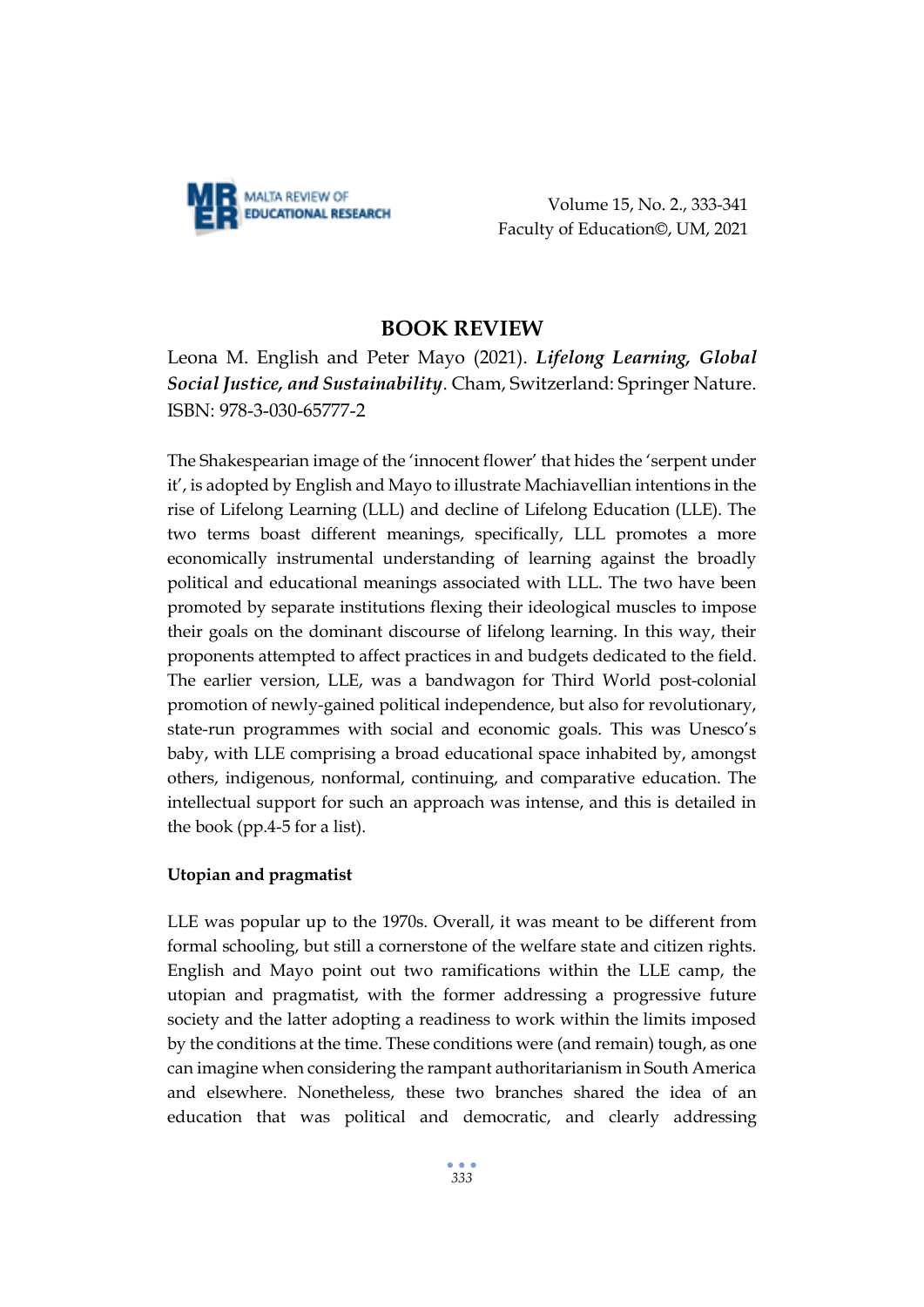

Volume 15, No. 2., 333-341 Faculty of Education©, UM, 2021

# **BOOK REVIEW**

Leona M. English and Peter Mayo (2021). *Lifelong Learning, Global Social Justice, and Sustainability*. Cham, Switzerland: Springer Nature. ISBN: 978-3-030-65777-2

The Shakespearian image of the 'innocent flower' that hides the 'serpent under it', is adopted by English and Mayo to illustrate Machiavellian intentions in the rise of Lifelong Learning (LLL) and decline of Lifelong Education (LLE). The two terms boast different meanings, specifically, LLL promotes a more economically instrumental understanding of learning against the broadly political and educational meanings associated with LLL. The two have been promoted by separate institutions flexing their ideological muscles to impose their goals on the dominant discourse of lifelong learning. In this way, their proponents attempted to affect practices in and budgets dedicated to the field. The earlier version, LLE, was a bandwagon for Third World post-colonial promotion of newly-gained political independence, but also for revolutionary, state-run programmes with social and economic goals. This was Unesco's baby, with LLE comprising a broad educational space inhabited by, amongst others, indigenous, nonformal, continuing, and comparative education. The intellectual support for such an approach was intense, and this is detailed in the book (pp.4-5 for a list).

## **Utopian and pragmatist**

LLE was popular up to the 1970s. Overall, it was meant to be different from formal schooling, but still a cornerstone of the welfare state and citizen rights. English and Mayo point out two ramifications within the LLE camp, the utopian and pragmatist, with the former addressing a progressive future society and the latter adopting a readiness to work within the limits imposed by the conditions at the time. These conditions were (and remain) tough, as one can imagine when considering the rampant authoritarianism in South America and elsewhere. Nonetheless, these two branches shared the idea of an education that was political and democratic, and clearly addressing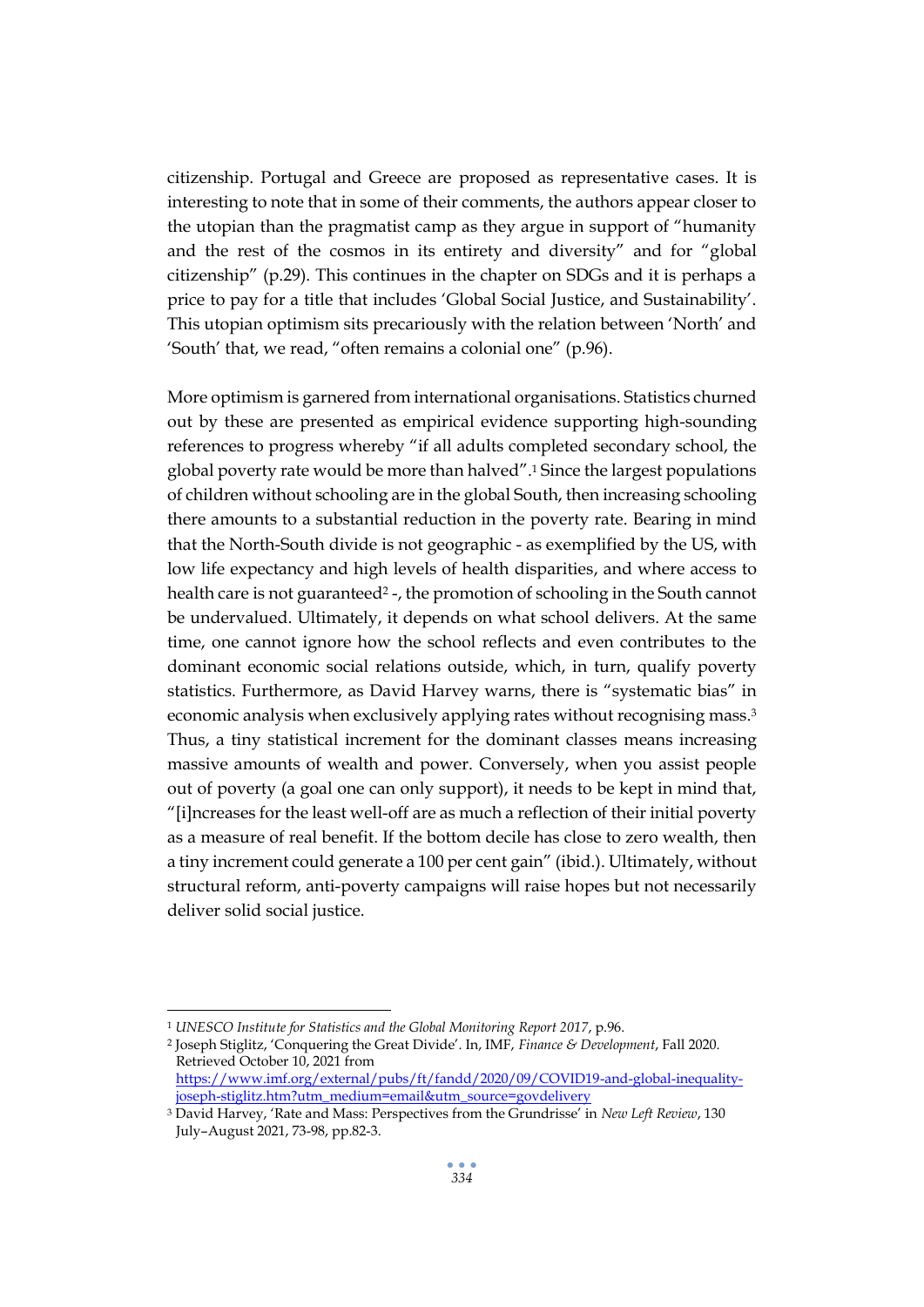citizenship. Portugal and Greece are proposed as representative cases. It is interesting to note that in some of their comments, the authors appear closer to the utopian than the pragmatist camp as they argue in support of "humanity and the rest of the cosmos in its entirety and diversity" and for "global citizenship" (p.29). This continues in the chapter on SDGs and it is perhaps a price to pay for a title that includes 'Global Social Justice, and Sustainability'. This utopian optimism sits precariously with the relation between 'North' and 'South' that, we read, "often remains a colonial one" (p.96).

More optimism is garnered from international organisations. Statistics churned out by these are presented as empirical evidence supporting high-sounding references to progress whereby "if all adults completed secondary school, the global poverty rate would be more than halved".<sup>1</sup> Since the largest populations of children without schooling are in the global South, then increasing schooling there amounts to a substantial reduction in the poverty rate. Bearing in mind that the North-South divide is not geographic - as exemplified by the US, with low life expectancy and high levels of health disparities, and where access to health care is not guaranteed<sup>2</sup> -, the promotion of schooling in the South cannot be undervalued. Ultimately, it depends on what school delivers. At the same time, one cannot ignore how the school reflects and even contributes to the dominant economic social relations outside, which, in turn, qualify poverty statistics. Furthermore, as David Harvey warns, there is "systematic bias" in economic analysis when exclusively applying rates without recognising mass.<sup>3</sup> Thus, a tiny statistical increment for the dominant classes means increasing massive amounts of wealth and power. Conversely, when you assist people out of poverty (a goal one can only support), it needs to be kept in mind that, "[i]ncreases for the least well-off are as much a reflection of their initial poverty as a measure of real benefit. If the bottom decile has close to zero wealth, then a tiny increment could generate a 100 per cent gain" (ibid.). Ultimately, without structural reform, anti-poverty campaigns will raise hopes but not necessarily deliver solid social justice.

<sup>1</sup> *UNESCO Institute for Statistics and the Global Monitoring Report 2017*, p.96.

<sup>2</sup> Joseph Stiglitz, 'Conquering the Great Divide'. In, IMF, *Finance & Development*, Fall 2020. Retrieved October 10, 2021 from

[https://www.imf.org/external/pubs/ft/fandd/2020/09/COVID19-and-global-inequality](https://www.imf.org/external/pubs/ft/fandd/2020/09/COVID19-and-global-inequality-joseph-stiglitz.htm?utm_medium=email&utm_source=govdelivery)[joseph-stiglitz.htm?utm\\_medium=email&utm\\_source=govdelivery](https://www.imf.org/external/pubs/ft/fandd/2020/09/COVID19-and-global-inequality-joseph-stiglitz.htm?utm_medium=email&utm_source=govdelivery)

<sup>3</sup> David Harvey, 'Rate and Mass: Perspectives from the Grundrisse' in *New Left Review*, 130 July–August 2021, 73-98, pp.82-3.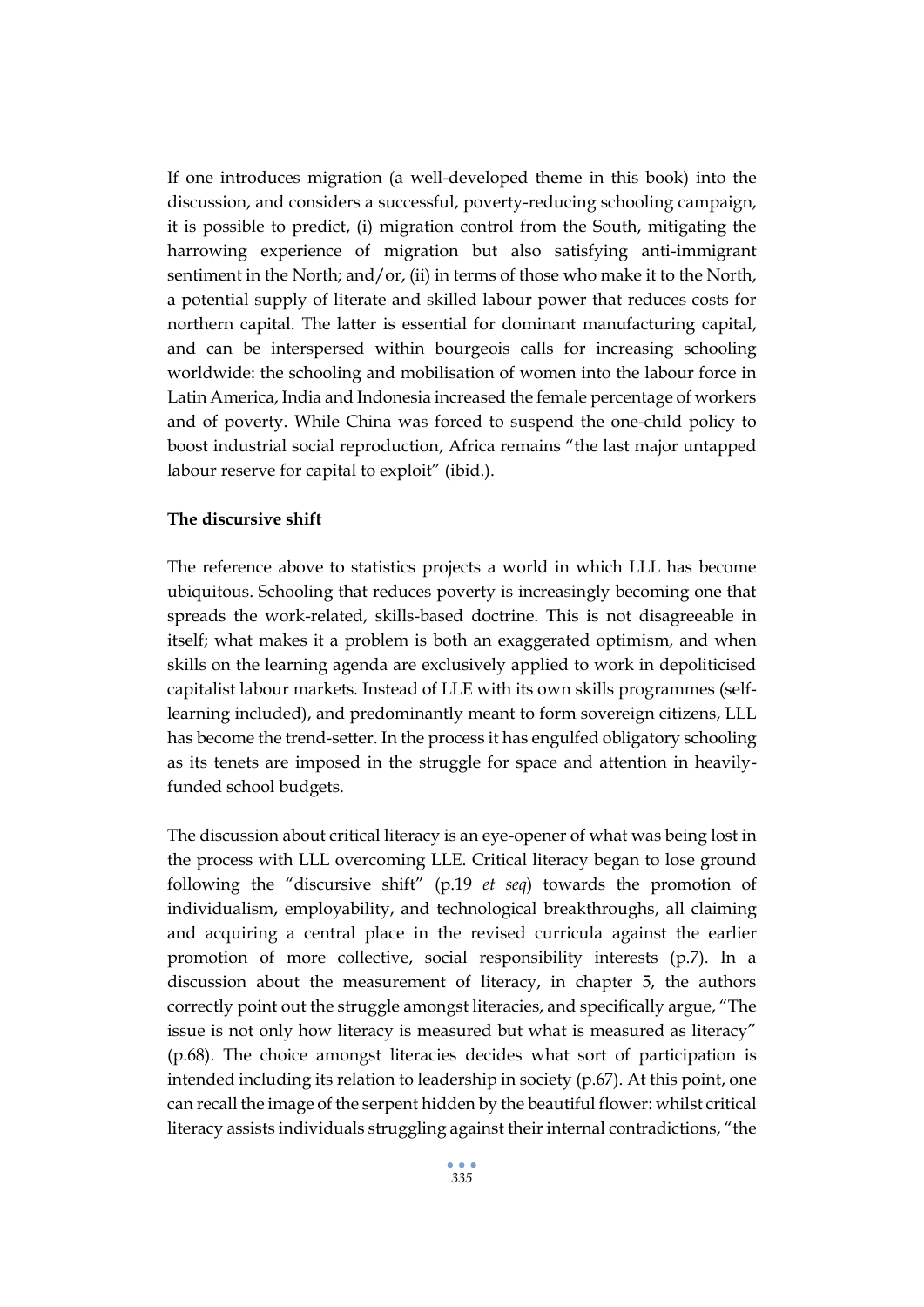If one introduces migration (a well-developed theme in this book) into the discussion, and considers a successful, poverty-reducing schooling campaign, it is possible to predict, (i) migration control from the South, mitigating the harrowing experience of migration but also satisfying anti-immigrant sentiment in the North; and/or, (ii) in terms of those who make it to the North, a potential supply of literate and skilled labour power that reduces costs for northern capital. The latter is essential for dominant manufacturing capital, and can be interspersed within bourgeois calls for increasing schooling worldwide: the schooling and mobilisation of women into the labour force in Latin America, India and Indonesia increased the female percentage of workers and of poverty. While China was forced to suspend the one-child policy to boost industrial social reproduction, Africa remains "the last major untapped labour reserve for capital to exploit" (ibid.).

### **The discursive shift**

The reference above to statistics projects a world in which LLL has become ubiquitous. Schooling that reduces poverty is increasingly becoming one that spreads the work-related, skills-based doctrine. This is not disagreeable in itself; what makes it a problem is both an exaggerated optimism, and when skills on the learning agenda are exclusively applied to work in depoliticised capitalist labour markets. Instead of LLE with its own skills programmes (selflearning included), and predominantly meant to form sovereign citizens, LLL has become the trend-setter. In the process it has engulfed obligatory schooling as its tenets are imposed in the struggle for space and attention in heavilyfunded school budgets.

The discussion about critical literacy is an eye-opener of what was being lost in the process with LLL overcoming LLE. Critical literacy began to lose ground following the "discursive shift" (p.19 *et seq*) towards the promotion of individualism, employability, and technological breakthroughs, all claiming and acquiring a central place in the revised curricula against the earlier promotion of more collective, social responsibility interests (p.7). In a discussion about the measurement of literacy, in chapter 5, the authors correctly point out the struggle amongst literacies, and specifically argue, "The issue is not only how literacy is measured but what is measured as literacy" (p.68). The choice amongst literacies decides what sort of participation is intended including its relation to leadership in society (p.67). At this point, one can recall the image of the serpent hidden by the beautiful flower: whilst critical literacy assists individuals struggling against their internal contradictions, "the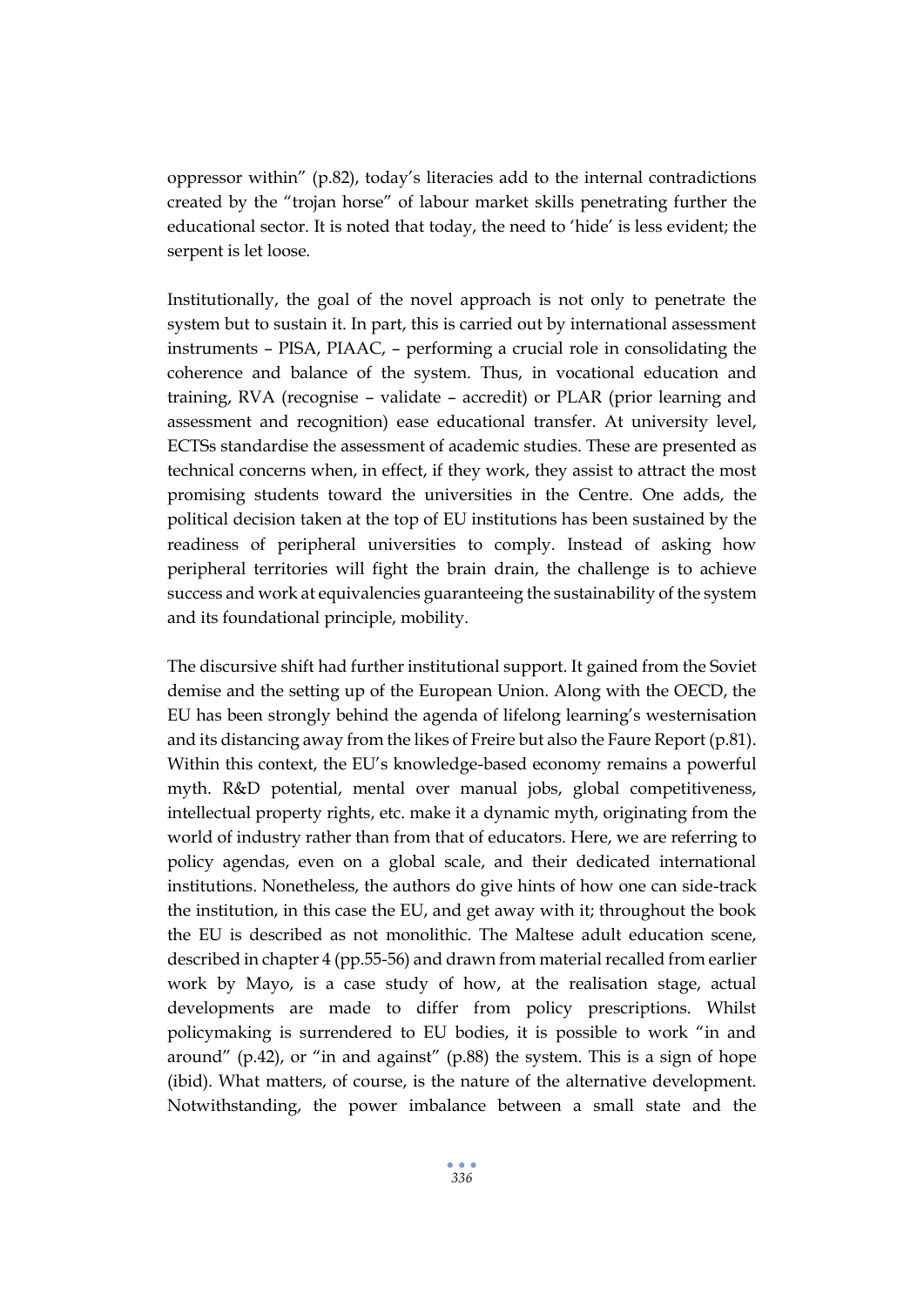oppressor within" (p.82), today's literacies add to the internal contradictions created by the "trojan horse" of labour market skills penetrating further the educational sector. It is noted that today, the need to 'hide' is less evident; the serpent is let loose.

Institutionally, the goal of the novel approach is not only to penetrate the system but to sustain it. In part, this is carried out by international assessment instruments – PISA, PIAAC, – performing a crucial role in consolidating the coherence and balance of the system. Thus, in vocational education and training, RVA (recognise – validate – accredit) or PLAR (prior learning and assessment and recognition) ease educational transfer. At university level, ECTSs standardise the assessment of academic studies. These are presented as technical concerns when, in effect, if they work, they assist to attract the most promising students toward the universities in the Centre. One adds, the political decision taken at the top of EU institutions has been sustained by the readiness of peripheral universities to comply. Instead of asking how peripheral territories will fight the brain drain, the challenge is to achieve success and work at equivalencies guaranteeing the sustainability of the system and its foundational principle, mobility.

The discursive shift had further institutional support. It gained from the Soviet demise and the setting up of the European Union. Along with the OECD, the EU has been strongly behind the agenda of lifelong learning's westernisation and its distancing away from the likes of Freire but also the Faure Report (p.81). Within this context, the EU's knowledge-based economy remains a powerful myth. R&D potential, mental over manual jobs, global competitiveness, intellectual property rights, etc. make it a dynamic myth, originating from the world of industry rather than from that of educators. Here, we are referring to policy agendas, even on a global scale, and their dedicated international institutions. Nonetheless, the authors do give hints of how one can side-track the institution, in this case the EU, and get away with it; throughout the book the EU is described as not monolithic. The Maltese adult education scene, described in chapter 4 (pp.55-56) and drawn from material recalled from earlier work by Mayo, is a case study of how, at the realisation stage, actual developments are made to differ from policy prescriptions. Whilst policymaking is surrendered to EU bodies, it is possible to work "in and around" (p.42), or "in and against" (p.88) the system. This is a sign of hope (ibid). What matters, of course, is the nature of the alternative development. Notwithstanding, the power imbalance between a small state and the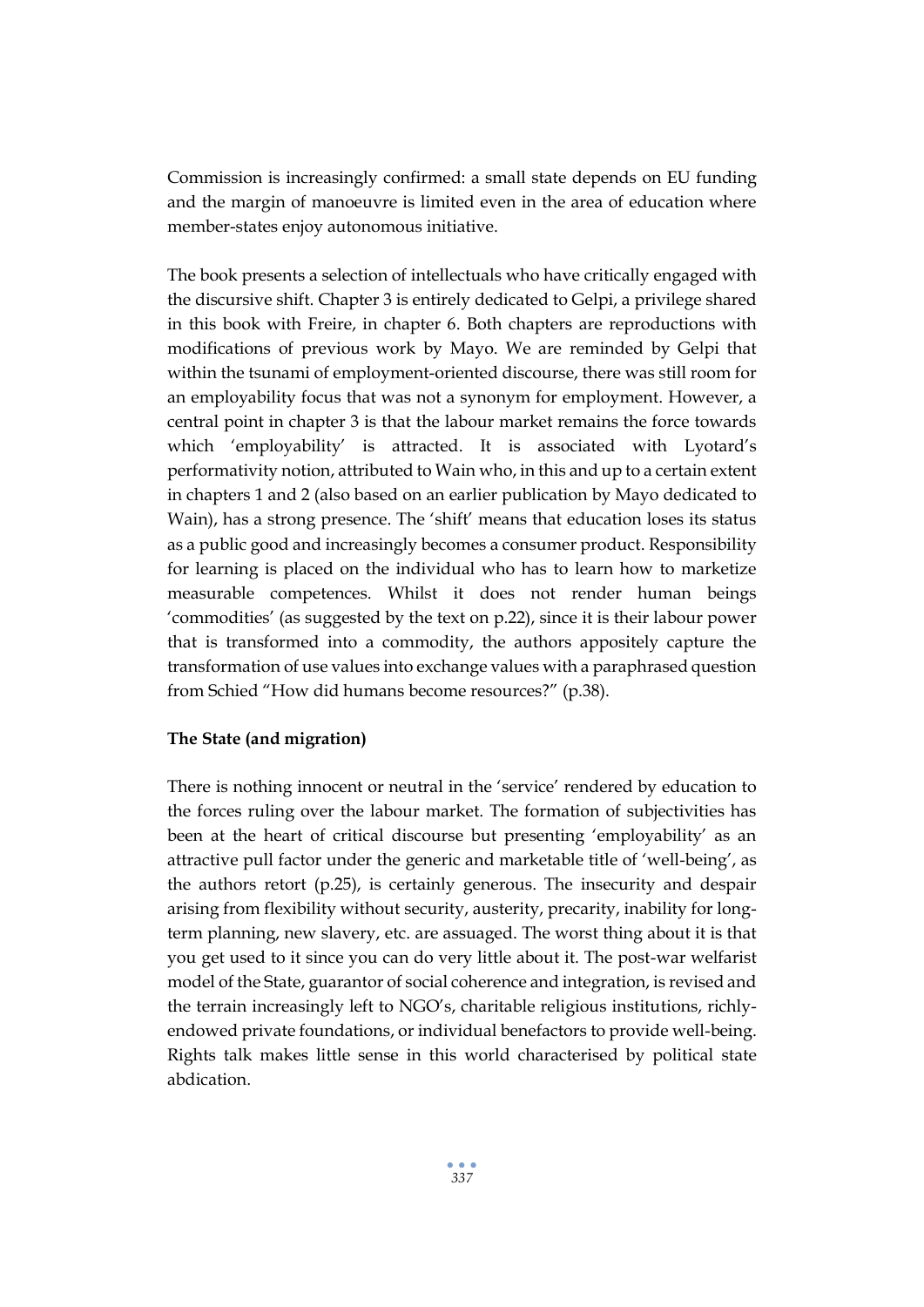Commission is increasingly confirmed: a small state depends on EU funding and the margin of manoeuvre is limited even in the area of education where member-states enjoy autonomous initiative.

The book presents a selection of intellectuals who have critically engaged with the discursive shift. Chapter 3 is entirely dedicated to Gelpi, a privilege shared in this book with Freire, in chapter 6. Both chapters are reproductions with modifications of previous work by Mayo. We are reminded by Gelpi that within the tsunami of employment-oriented discourse, there was still room for an employability focus that was not a synonym for employment. However, a central point in chapter 3 is that the labour market remains the force towards which 'employability' is attracted. It is associated with Lyotard's performativity notion, attributed to Wain who, in this and up to a certain extent in chapters 1 and 2 (also based on an earlier publication by Mayo dedicated to Wain), has a strong presence. The 'shift' means that education loses its status as a public good and increasingly becomes a consumer product. Responsibility for learning is placed on the individual who has to learn how to marketize measurable competences. Whilst it does not render human beings 'commodities' (as suggested by the text on p.22), since it is their labour power that is transformed into a commodity, the authors appositely capture the transformation of use values into exchange values with a paraphrased question from Schied "How did humans become resources?" (p.38).

#### **The State (and migration)**

There is nothing innocent or neutral in the 'service' rendered by education to the forces ruling over the labour market. The formation of subjectivities has been at the heart of critical discourse but presenting 'employability' as an attractive pull factor under the generic and marketable title of 'well-being', as the authors retort (p.25), is certainly generous. The insecurity and despair arising from flexibility without security, austerity, precarity, inability for longterm planning, new slavery, etc. are assuaged. The worst thing about it is that you get used to it since you can do very little about it. The post-war welfarist model of the State, guarantor of social coherence and integration, is revised and the terrain increasingly left to NGO's, charitable religious institutions, richlyendowed private foundations, or individual benefactors to provide well-being. Rights talk makes little sense in this world characterised by political state abdication.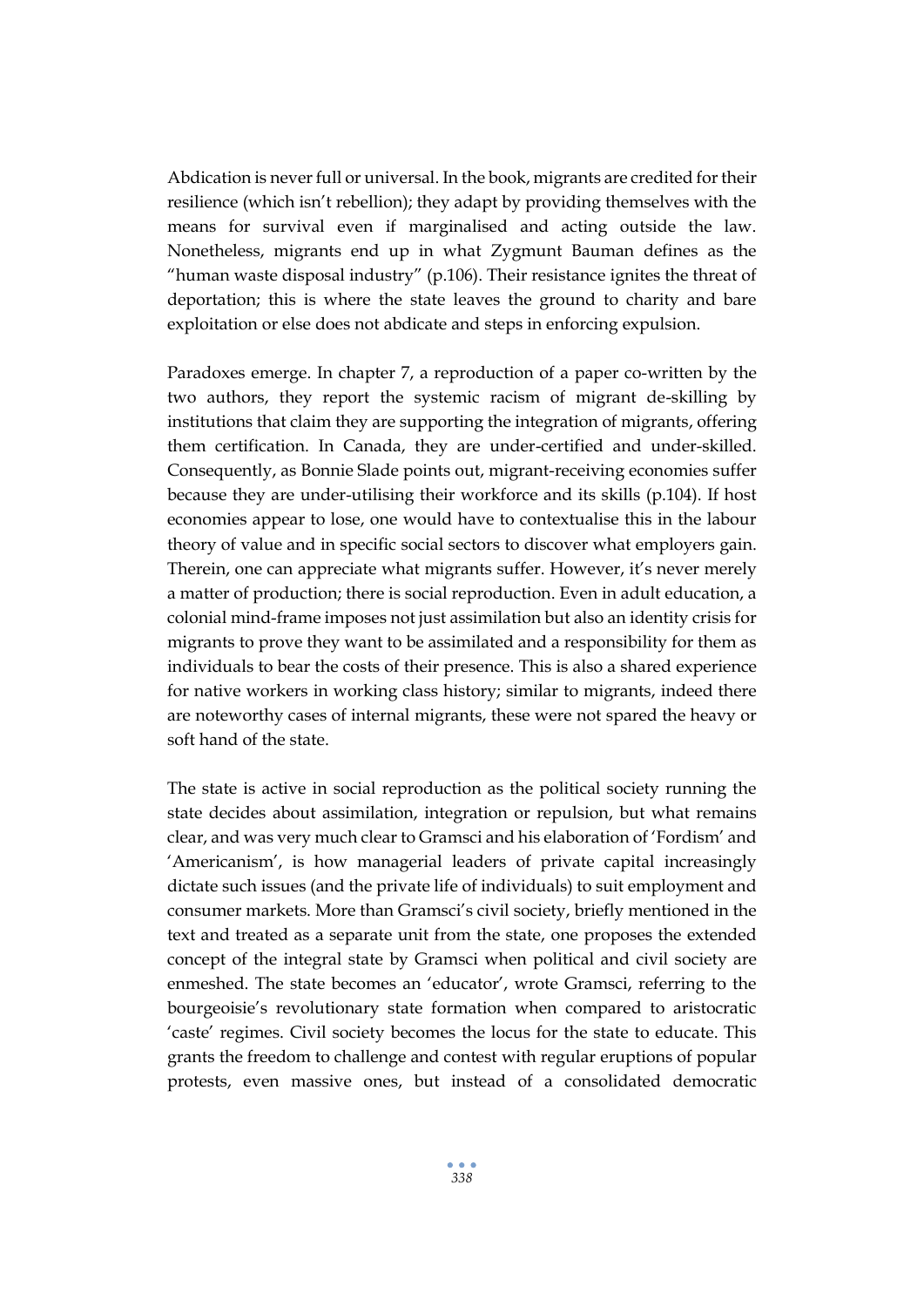Abdication is never full or universal. In the book, migrants are credited for their resilience (which isn't rebellion); they adapt by providing themselves with the means for survival even if marginalised and acting outside the law. Nonetheless, migrants end up in what Zygmunt Bauman defines as the "human waste disposal industry" (p.106). Their resistance ignites the threat of deportation; this is where the state leaves the ground to charity and bare exploitation or else does not abdicate and steps in enforcing expulsion.

Paradoxes emerge. In chapter 7, a reproduction of a paper co-written by the two authors, they report the systemic racism of migrant de-skilling by institutions that claim they are supporting the integration of migrants, offering them certification. In Canada, they are under-certified and under-skilled. Consequently, as Bonnie Slade points out, migrant-receiving economies suffer because they are under-utilising their workforce and its skills (p.104). If host economies appear to lose, one would have to contextualise this in the labour theory of value and in specific social sectors to discover what employers gain. Therein, one can appreciate what migrants suffer. However, it's never merely a matter of production; there is social reproduction. Even in adult education, a colonial mind-frame imposes not just assimilation but also an identity crisis for migrants to prove they want to be assimilated and a responsibility for them as individuals to bear the costs of their presence. This is also a shared experience for native workers in working class history; similar to migrants, indeed there are noteworthy cases of internal migrants, these were not spared the heavy or soft hand of the state.

The state is active in social reproduction as the political society running the state decides about assimilation, integration or repulsion, but what remains clear, and was very much clear to Gramsci and his elaboration of 'Fordism' and 'Americanism', is how managerial leaders of private capital increasingly dictate such issues (and the private life of individuals) to suit employment and consumer markets. More than Gramsci's civil society, briefly mentioned in the text and treated as a separate unit from the state, one proposes the extended concept of the integral state by Gramsci when political and civil society are enmeshed. The state becomes an 'educator', wrote Gramsci, referring to the bourgeoisie's revolutionary state formation when compared to aristocratic 'caste' regimes. Civil society becomes the locus for the state to educate. This grants the freedom to challenge and contest with regular eruptions of popular protests, even massive ones, but instead of a consolidated democratic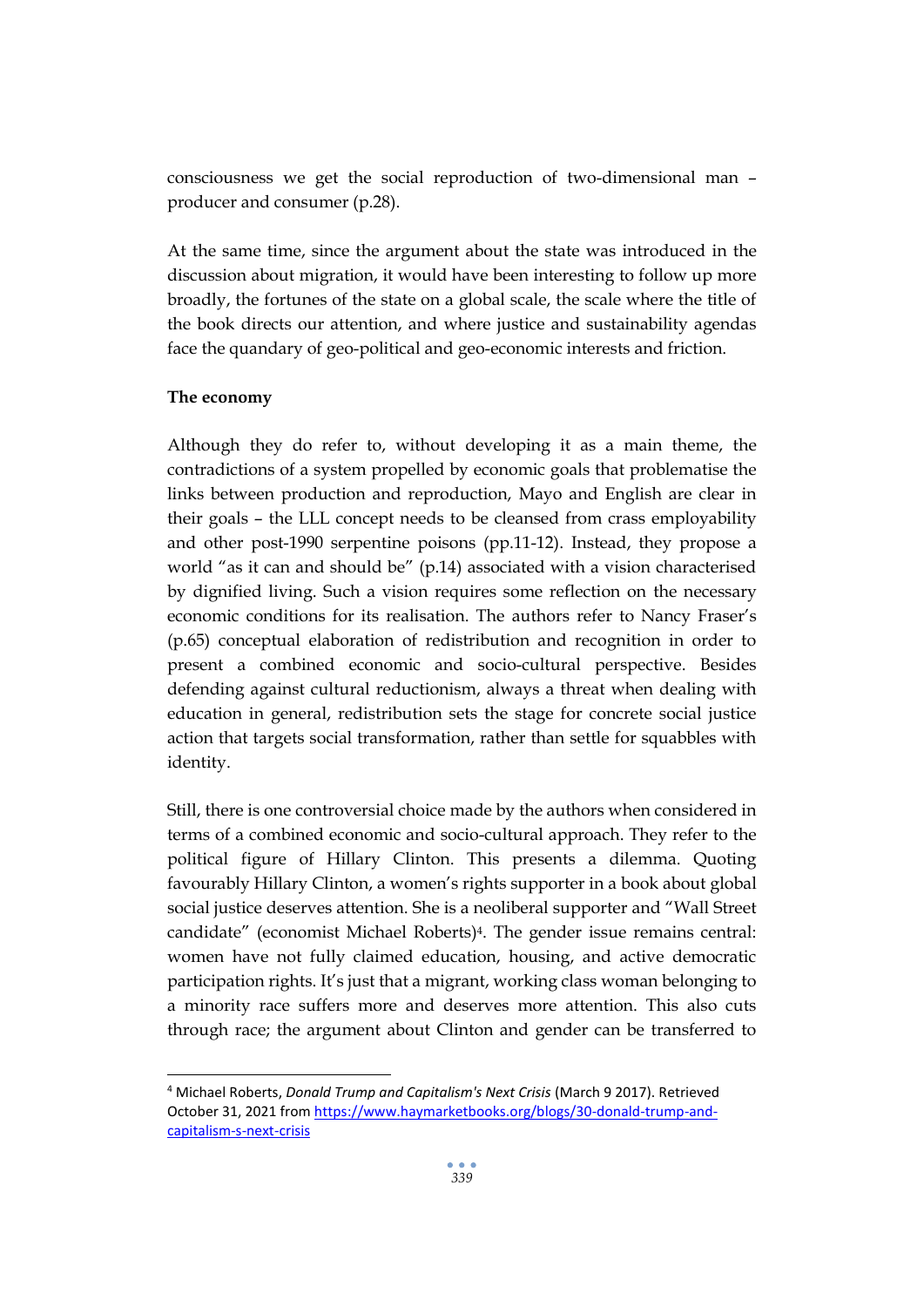consciousness we get the social reproduction of two-dimensional man – producer and consumer (p.28).

At the same time, since the argument about the state was introduced in the discussion about migration, it would have been interesting to follow up more broadly, the fortunes of the state on a global scale, the scale where the title of the book directs our attention, and where justice and sustainability agendas face the quandary of geo-political and geo-economic interests and friction.

#### **The economy**

Although they do refer to, without developing it as a main theme, the contradictions of a system propelled by economic goals that problematise the links between production and reproduction, Mayo and English are clear in their goals – the LLL concept needs to be cleansed from crass employability and other post-1990 serpentine poisons (pp.11-12). Instead, they propose a world "as it can and should be" (p.14) associated with a vision characterised by dignified living. Such a vision requires some reflection on the necessary economic conditions for its realisation. The authors refer to Nancy Fraser's (p.65) conceptual elaboration of redistribution and recognition in order to present a combined economic and socio-cultural perspective. Besides defending against cultural reductionism, always a threat when dealing with education in general, redistribution sets the stage for concrete social justice action that targets social transformation, rather than settle for squabbles with identity.

Still, there is one controversial choice made by the authors when considered in terms of a combined economic and socio-cultural approach. They refer to the political figure of Hillary Clinton. This presents a dilemma. Quoting favourably Hillary Clinton, a women's rights supporter in a book about global social justice deserves attention. She is a neoliberal supporter and "Wall Street candidate" (economist Michael Roberts)4. The gender issue remains central: women have not fully claimed education, housing, and active democratic participation rights. It's just that a migrant, working class woman belonging to a minority race suffers more and deserves more attention. This also cuts through race; the argument about Clinton and gender can be transferred to

<sup>4</sup> Michael Roberts, *Donald Trump and Capitalism's Next Crisis* (March 9 2017). Retrieved October 31, 2021 fro[m https://www.haymarketbooks.org/blogs/30-donald-trump-and](https://www.haymarketbooks.org/blogs/30-donald-trump-and-capitalism-s-next-crisis)[capitalism-s-next-crisis](https://www.haymarketbooks.org/blogs/30-donald-trump-and-capitalism-s-next-crisis)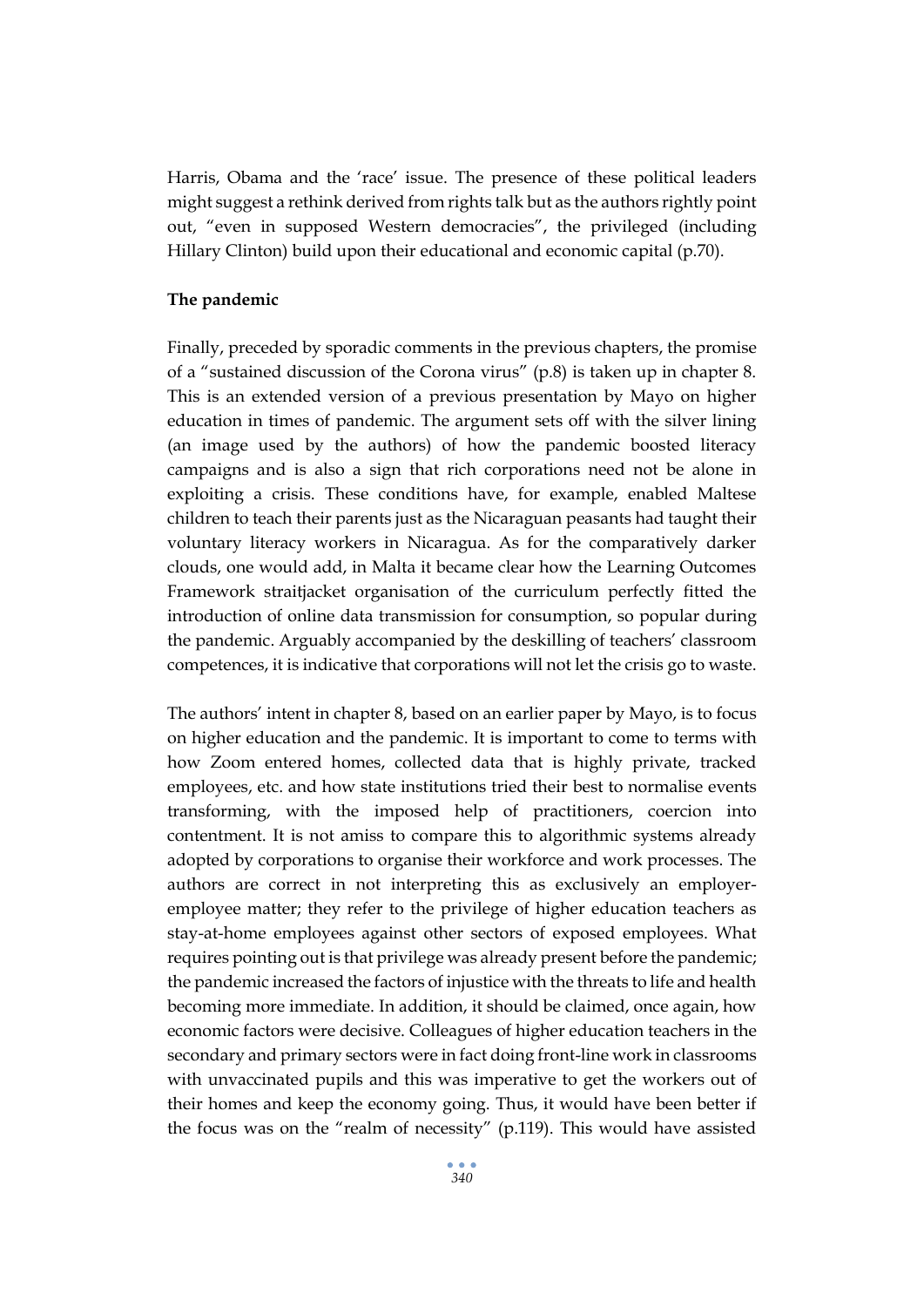Harris, Obama and the 'race' issue. The presence of these political leaders might suggest a rethink derived from rights talk but as the authors rightly point out, "even in supposed Western democracies", the privileged (including Hillary Clinton) build upon their educational and economic capital (p.70).

#### **The pandemic**

Finally, preceded by sporadic comments in the previous chapters, the promise of a "sustained discussion of the Corona virus" (p.8) is taken up in chapter 8. This is an extended version of a previous presentation by Mayo on higher education in times of pandemic. The argument sets off with the silver lining (an image used by the authors) of how the pandemic boosted literacy campaigns and is also a sign that rich corporations need not be alone in exploiting a crisis. These conditions have, for example, enabled Maltese children to teach their parents just as the Nicaraguan peasants had taught their voluntary literacy workers in Nicaragua. As for the comparatively darker clouds, one would add, in Malta it became clear how the Learning Outcomes Framework straitjacket organisation of the curriculum perfectly fitted the introduction of online data transmission for consumption, so popular during the pandemic. Arguably accompanied by the deskilling of teachers' classroom competences, it is indicative that corporations will not let the crisis go to waste.

The authors' intent in chapter 8, based on an earlier paper by Mayo, is to focus on higher education and the pandemic. It is important to come to terms with how Zoom entered homes, collected data that is highly private, tracked employees, etc. and how state institutions tried their best to normalise events transforming, with the imposed help of practitioners, coercion into contentment. It is not amiss to compare this to algorithmic systems already adopted by corporations to organise their workforce and work processes. The authors are correct in not interpreting this as exclusively an employeremployee matter; they refer to the privilege of higher education teachers as stay-at-home employees against other sectors of exposed employees. What requires pointing out is that privilege was already present before the pandemic; the pandemic increased the factors of injustice with the threats to life and health becoming more immediate. In addition, it should be claimed, once again, how economic factors were decisive. Colleagues of higher education teachers in the secondary and primary sectors were in fact doing front-line work in classrooms with unvaccinated pupils and this was imperative to get the workers out of their homes and keep the economy going. Thus, it would have been better if the focus was on the "realm of necessity" (p.119). This would have assisted